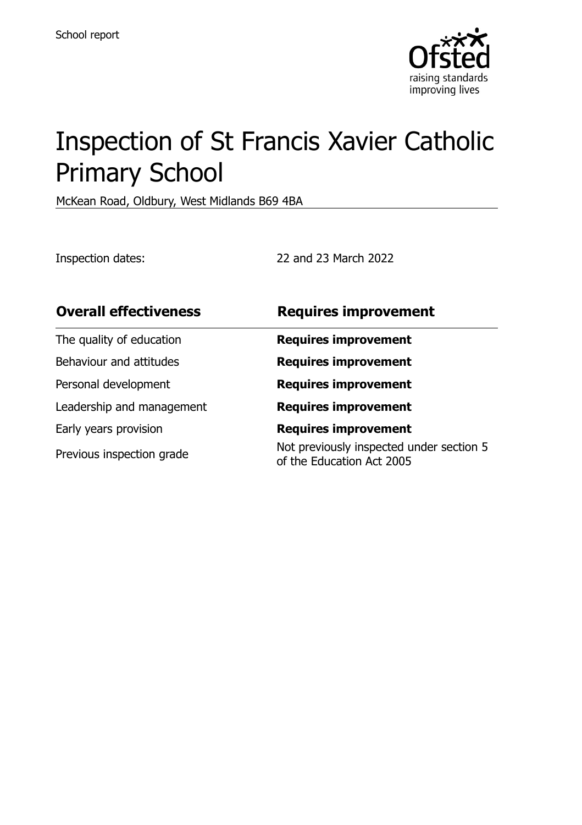

# Inspection of St Francis Xavier Catholic Primary School

McKean Road, Oldbury, West Midlands B69 4BA

Inspection dates: 22 and 23 March 2022

| <b>Overall effectiveness</b> | <b>Requires improvement</b>                                           |
|------------------------------|-----------------------------------------------------------------------|
| The quality of education     | <b>Requires improvement</b>                                           |
| Behaviour and attitudes      | <b>Requires improvement</b>                                           |
| Personal development         | <b>Requires improvement</b>                                           |
| Leadership and management    | <b>Requires improvement</b>                                           |
| Early years provision        | <b>Requires improvement</b>                                           |
| Previous inspection grade    | Not previously inspected under section 5<br>of the Education Act 2005 |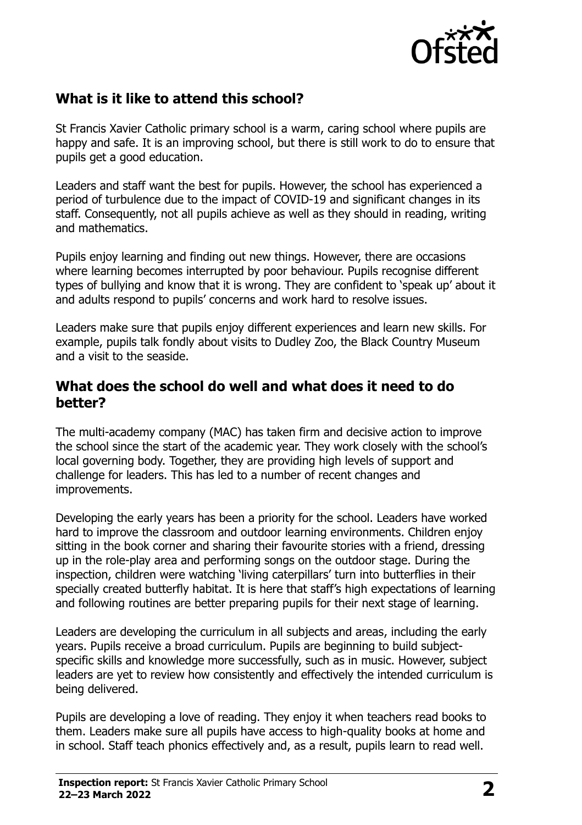

#### **What is it like to attend this school?**

St Francis Xavier Catholic primary school is a warm, caring school where pupils are happy and safe. It is an improving school, but there is still work to do to ensure that pupils get a good education.

Leaders and staff want the best for pupils. However, the school has experienced a period of turbulence due to the impact of COVID-19 and significant changes in its staff. Consequently, not all pupils achieve as well as they should in reading, writing and mathematics.

Pupils enjoy learning and finding out new things. However, there are occasions where learning becomes interrupted by poor behaviour. Pupils recognise different types of bullying and know that it is wrong. They are confident to 'speak up' about it and adults respond to pupils' concerns and work hard to resolve issues.

Leaders make sure that pupils enjoy different experiences and learn new skills. For example, pupils talk fondly about visits to Dudley Zoo, the Black Country Museum and a visit to the seaside.

#### **What does the school do well and what does it need to do better?**

The multi-academy company (MAC) has taken firm and decisive action to improve the school since the start of the academic year. They work closely with the school's local governing body. Together, they are providing high levels of support and challenge for leaders. This has led to a number of recent changes and improvements.

Developing the early years has been a priority for the school. Leaders have worked hard to improve the classroom and outdoor learning environments. Children enjoy sitting in the book corner and sharing their favourite stories with a friend, dressing up in the role-play area and performing songs on the outdoor stage. During the inspection, children were watching 'living caterpillars' turn into butterflies in their specially created butterfly habitat. It is here that staff's high expectations of learning and following routines are better preparing pupils for their next stage of learning.

Leaders are developing the curriculum in all subjects and areas, including the early years. Pupils receive a broad curriculum. Pupils are beginning to build subjectspecific skills and knowledge more successfully, such as in music. However, subject leaders are yet to review how consistently and effectively the intended curriculum is being delivered.

Pupils are developing a love of reading. They enjoy it when teachers read books to them. Leaders make sure all pupils have access to high-quality books at home and in school. Staff teach phonics effectively and, as a result, pupils learn to read well.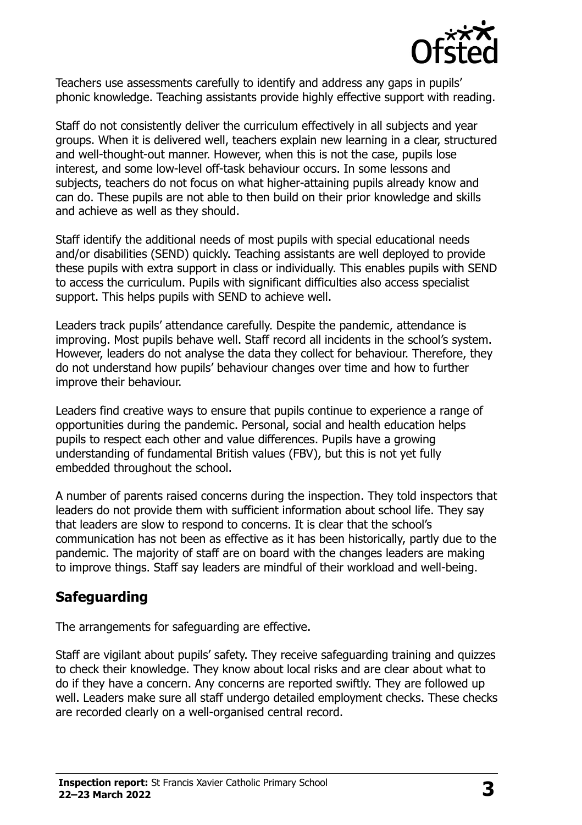

Teachers use assessments carefully to identify and address any gaps in pupils' phonic knowledge. Teaching assistants provide highly effective support with reading.

Staff do not consistently deliver the curriculum effectively in all subjects and year groups. When it is delivered well, teachers explain new learning in a clear, structured and well-thought-out manner. However, when this is not the case, pupils lose interest, and some low-level off-task behaviour occurs. In some lessons and subjects, teachers do not focus on what higher-attaining pupils already know and can do. These pupils are not able to then build on their prior knowledge and skills and achieve as well as they should.

Staff identify the additional needs of most pupils with special educational needs and/or disabilities (SEND) quickly. Teaching assistants are well deployed to provide these pupils with extra support in class or individually. This enables pupils with SEND to access the curriculum. Pupils with significant difficulties also access specialist support. This helps pupils with SEND to achieve well.

Leaders track pupils' attendance carefully. Despite the pandemic, attendance is improving. Most pupils behave well. Staff record all incidents in the school's system. However, leaders do not analyse the data they collect for behaviour. Therefore, they do not understand how pupils' behaviour changes over time and how to further improve their behaviour.

Leaders find creative ways to ensure that pupils continue to experience a range of opportunities during the pandemic. Personal, social and health education helps pupils to respect each other and value differences. Pupils have a growing understanding of fundamental British values (FBV), but this is not yet fully embedded throughout the school.

A number of parents raised concerns during the inspection. They told inspectors that leaders do not provide them with sufficient information about school life. They say that leaders are slow to respond to concerns. It is clear that the school's communication has not been as effective as it has been historically, partly due to the pandemic. The majority of staff are on board with the changes leaders are making to improve things. Staff say leaders are mindful of their workload and well-being.

#### **Safeguarding**

The arrangements for safeguarding are effective.

Staff are vigilant about pupils' safety. They receive safeguarding training and quizzes to check their knowledge. They know about local risks and are clear about what to do if they have a concern. Any concerns are reported swiftly. They are followed up well. Leaders make sure all staff undergo detailed employment checks. These checks are recorded clearly on a well-organised central record.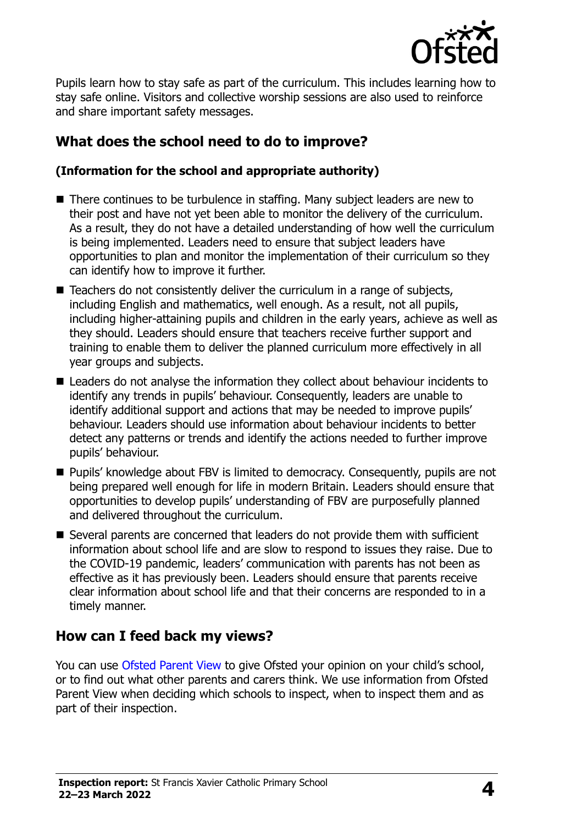

Pupils learn how to stay safe as part of the curriculum. This includes learning how to stay safe online. Visitors and collective worship sessions are also used to reinforce and share important safety messages.

## **What does the school need to do to improve?**

#### **(Information for the school and appropriate authority)**

- There continues to be turbulence in staffing. Many subject leaders are new to their post and have not yet been able to monitor the delivery of the curriculum. As a result, they do not have a detailed understanding of how well the curriculum is being implemented. Leaders need to ensure that subject leaders have opportunities to plan and monitor the implementation of their curriculum so they can identify how to improve it further.
- Teachers do not consistently deliver the curriculum in a range of subjects, including English and mathematics, well enough. As a result, not all pupils, including higher-attaining pupils and children in the early years, achieve as well as they should. Leaders should ensure that teachers receive further support and training to enable them to deliver the planned curriculum more effectively in all year groups and subjects.
- Leaders do not analyse the information they collect about behaviour incidents to identify any trends in pupils' behaviour. Consequently, leaders are unable to identify additional support and actions that may be needed to improve pupils' behaviour. Leaders should use information about behaviour incidents to better detect any patterns or trends and identify the actions needed to further improve pupils' behaviour.
- Pupils' knowledge about FBV is limited to democracy. Consequently, pupils are not being prepared well enough for life in modern Britain. Leaders should ensure that opportunities to develop pupils' understanding of FBV are purposefully planned and delivered throughout the curriculum.
- Several parents are concerned that leaders do not provide them with sufficient information about school life and are slow to respond to issues they raise. Due to the COVID-19 pandemic, leaders' communication with parents has not been as effective as it has previously been. Leaders should ensure that parents receive clear information about school life and that their concerns are responded to in a timely manner.

## **How can I feed back my views?**

You can use [Ofsted Parent View](http://parentview.ofsted.gov.uk/) to give Ofsted your opinion on your child's school, or to find out what other parents and carers think. We use information from Ofsted Parent View when deciding which schools to inspect, when to inspect them and as part of their inspection.

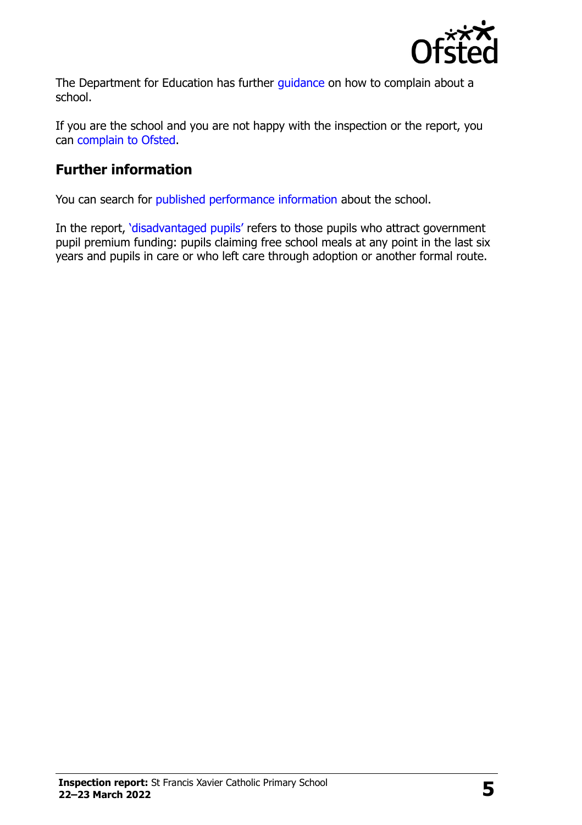

The Department for Education has further quidance on how to complain about a school.

If you are the school and you are not happy with the inspection or the report, you can [complain to Ofsted.](http://www.gov.uk/complain-ofsted-report)

# **Further information**

You can search for [published performance information](http://www.compare-school-performance.service.gov.uk/) about the school.

In the report, '[disadvantaged pupils](http://www.gov.uk/guidance/pupil-premium-information-for-schools-and-alternative-provision-settings)' refers to those pupils who attract government pupil premium funding: pupils claiming free school meals at any point in the last six years and pupils in care or who left care through adoption or another formal route.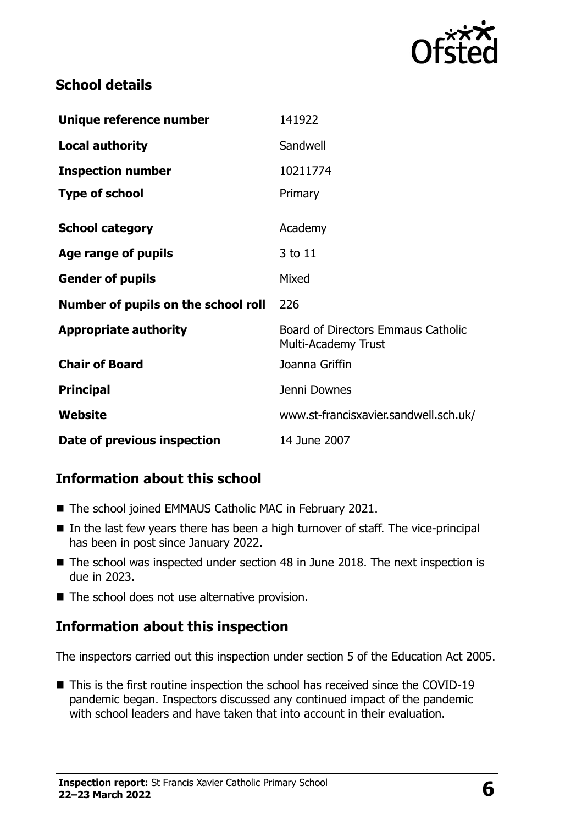

#### **School details**

| Unique reference number             | 141922                                                    |
|-------------------------------------|-----------------------------------------------------------|
| <b>Local authority</b>              | Sandwell                                                  |
| <b>Inspection number</b>            | 10211774                                                  |
| <b>Type of school</b>               | Primary                                                   |
| <b>School category</b>              | Academy                                                   |
| Age range of pupils                 | 3 to 11                                                   |
| <b>Gender of pupils</b>             | Mixed                                                     |
| Number of pupils on the school roll | 226                                                       |
| <b>Appropriate authority</b>        | Board of Directors Emmaus Catholic<br>Multi-Academy Trust |
| <b>Chair of Board</b>               | Joanna Griffin                                            |
| <b>Principal</b>                    | Jenni Downes                                              |
| Website                             | www.st-francisxavier.sandwell.sch.uk/                     |
| Date of previous inspection         | 14 June 2007                                              |

## **Information about this school**

- The school joined EMMAUS Catholic MAC in February 2021.
- $\blacksquare$  In the last few years there has been a high turnover of staff. The vice-principal has been in post since January 2022.
- The school was inspected under section 48 in June 2018. The next inspection is due in 2023.
- $\blacksquare$  The school does not use alternative provision.

## **Information about this inspection**

The inspectors carried out this inspection under section 5 of the Education Act 2005.

■ This is the first routine inspection the school has received since the COVID-19 pandemic began. Inspectors discussed any continued impact of the pandemic with school leaders and have taken that into account in their evaluation.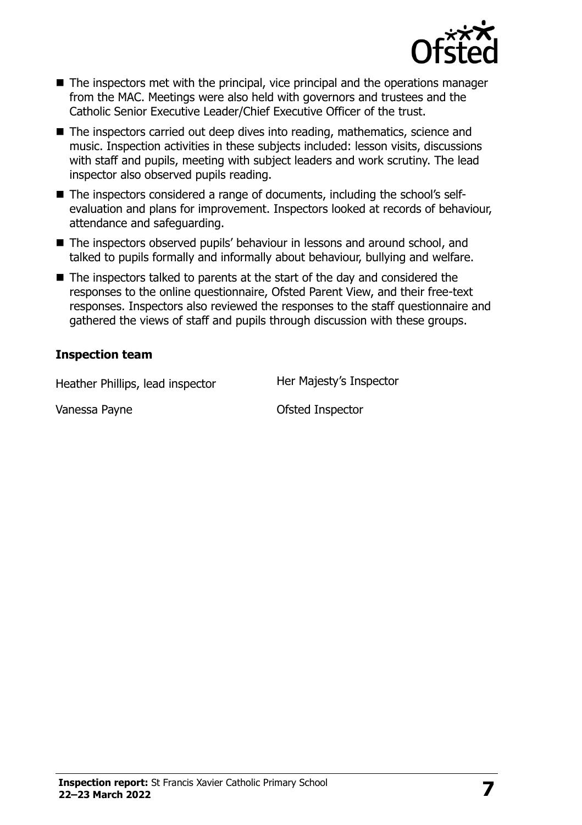

- The inspectors met with the principal, vice principal and the operations manager from the MAC. Meetings were also held with governors and trustees and the Catholic Senior Executive Leader/Chief Executive Officer of the trust.
- The inspectors carried out deep dives into reading, mathematics, science and music. Inspection activities in these subjects included: lesson visits, discussions with staff and pupils, meeting with subject leaders and work scrutiny. The lead inspector also observed pupils reading.
- The inspectors considered a range of documents, including the school's selfevaluation and plans for improvement. Inspectors looked at records of behaviour, attendance and safeguarding.
- The inspectors observed pupils' behaviour in lessons and around school, and talked to pupils formally and informally about behaviour, bullying and welfare.
- $\blacksquare$  The inspectors talked to parents at the start of the day and considered the responses to the online questionnaire, Ofsted Parent View, and their free-text responses. Inspectors also reviewed the responses to the staff questionnaire and gathered the views of staff and pupils through discussion with these groups.

#### **Inspection team**

Heather Phillips, lead inspector Her Majesty's Inspector

Vanessa Payne **Calculates** Ofsted Inspector